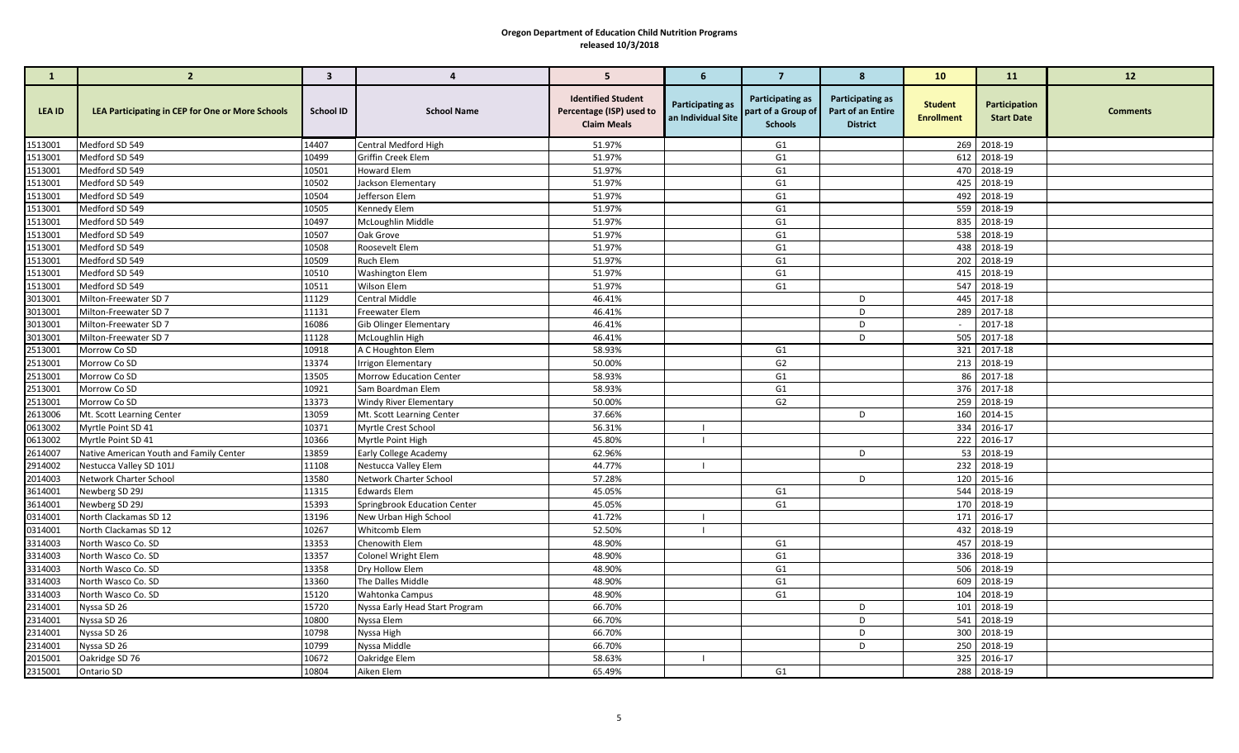| $\mathbf{1}$       | $\overline{2}$                                   | $\mathbf{3}$     | $\overline{4}$                       | 5 <sup>5</sup>                                                              | 6                                      | $\overline{7}$                                           | 8                                                               | 10                                  | 11                                 | 12              |
|--------------------|--------------------------------------------------|------------------|--------------------------------------|-----------------------------------------------------------------------------|----------------------------------------|----------------------------------------------------------|-----------------------------------------------------------------|-------------------------------------|------------------------------------|-----------------|
| LEA ID             | LEA Participating in CEP for One or More Schools | <b>School ID</b> | <b>School Name</b>                   | <b>Identified Student</b><br>Percentage (ISP) used to<br><b>Claim Meals</b> | Participating as<br>an Individual Site | Participating as<br>part of a Group of<br><b>Schools</b> | <b>Participating as</b><br>Part of an Entire<br><b>District</b> | <b>Student</b><br><b>Enrollment</b> | Participation<br><b>Start Date</b> | <b>Comments</b> |
| 1513001            | Medford SD 549                                   | 14407            | Central Medford High                 | 51.97%                                                                      |                                        | G1                                                       |                                                                 |                                     | 269 2018-19                        |                 |
| 1513001            | Medford SD 549                                   | 10499            | Griffin Creek Elem                   | 51.97%                                                                      |                                        | G <sub>1</sub>                                           |                                                                 |                                     | 612 2018-19                        |                 |
| 1513001            | Medford SD 549                                   | 10501            | <b>Howard Elem</b>                   | 51.97%                                                                      |                                        | G <sub>1</sub>                                           |                                                                 |                                     | 470 2018-19                        |                 |
| 1513001            | Medford SD 549                                   | 10502            | Jackson Elementary                   | 51.97%                                                                      |                                        | G <sub>1</sub>                                           |                                                                 |                                     | 425 2018-19                        |                 |
| 1513001            | Medford SD 549                                   | 10504            | Jefferson Elem                       | 51.97%                                                                      |                                        | G <sub>1</sub>                                           |                                                                 |                                     | 492 2018-19                        |                 |
| 1513001            | Medford SD 549                                   | 10505            | Kennedy Elem                         | 51.97%                                                                      |                                        | G <sub>1</sub>                                           |                                                                 |                                     | 559 2018-19                        |                 |
| 1513001            | Medford SD 549                                   | 10497            | McLoughlin Middle                    | 51.97%                                                                      |                                        | G1                                                       |                                                                 |                                     | 835 2018-19                        |                 |
| 1513001            | Medford SD 549                                   | 10507            | Oak Grove                            | 51.97%                                                                      |                                        | G1                                                       |                                                                 |                                     | 538 2018-19                        |                 |
| 1513001            | Medford SD 549                                   | 10508            | Roosevelt Elem                       | 51.97%                                                                      |                                        | G <sub>1</sub>                                           |                                                                 |                                     | 438 2018-19                        |                 |
| 1513001            | Medford SD 549                                   | 10509            | Ruch Elem                            | 51.97%                                                                      |                                        | G <sub>1</sub>                                           |                                                                 |                                     | 202 2018-19                        |                 |
| 1513001            | Medford SD 549                                   | 10510            | <b>Washington Elem</b>               | 51.97%                                                                      |                                        | G <sub>1</sub>                                           |                                                                 |                                     | 415 2018-19                        |                 |
| 1513001            | Medford SD 549<br>Milton-Freewater SD 7          | 10511<br>11129   | Wilson Elem<br><b>Central Middle</b> | 51.97%<br>46.41%                                                            |                                        | G1                                                       | D                                                               |                                     | 547 2018-19<br>445 2017-18         |                 |
| 3013001<br>3013001 | Milton-Freewater SD 7                            | 11131            | Freewater Elem                       | 46.41%                                                                      |                                        |                                                          | D                                                               |                                     | 289 2017-18                        |                 |
| 3013001            | Milton-Freewater SD 7                            | 16086            | <b>Gib Olinger Elementary</b>        | 46.41%                                                                      |                                        |                                                          | D                                                               |                                     | 2017-18                            |                 |
| 3013001            | Milton-Freewater SD 7                            | 11128            | McLoughlin High                      | 46.41%                                                                      |                                        |                                                          | D                                                               |                                     | 505 2017-18                        |                 |
| 2513001            | Morrow Co SD                                     | 10918            | A C Houghton Elem                    | 58.93%                                                                      |                                        | G1                                                       |                                                                 |                                     | 321 2017-18                        |                 |
| 2513001            | Morrow Co SD                                     | 13374            | <b>Irrigon Elementary</b>            | 50.00%                                                                      |                                        | G <sub>2</sub>                                           |                                                                 |                                     | 213 2018-19                        |                 |
| 2513001            | Morrow Co SD                                     | 13505            | <b>Morrow Education Center</b>       | 58.93%                                                                      |                                        | G <sub>1</sub>                                           |                                                                 |                                     | 86 2017-18                         |                 |
| 2513001            | Morrow Co SD                                     | 10921            | Sam Boardman Elem                    | 58.93%                                                                      |                                        | G1                                                       |                                                                 |                                     | 376 2017-18                        |                 |
| 2513001            | Morrow Co SD                                     | 13373            | <b>Windy River Elementary</b>        | 50.00%                                                                      |                                        | G <sub>2</sub>                                           |                                                                 |                                     | 259 2018-19                        |                 |
| 2613006            | Mt. Scott Learning Center                        | 13059            | Mt. Scott Learning Center            | 37.66%                                                                      |                                        |                                                          | D                                                               |                                     | 160 2014-15                        |                 |
| 0613002            | Myrtle Point SD 41                               | 10371            | Myrtle Crest School                  | 56.31%                                                                      |                                        |                                                          |                                                                 |                                     | 334 2016-17                        |                 |
| 0613002            | Myrtle Point SD 41                               | 10366            | Myrtle Point High                    | 45.80%                                                                      |                                        |                                                          |                                                                 |                                     | 222 2016-17                        |                 |
| 2614007            | Native American Youth and Family Center          | 13859            | Early College Academy                | 62.96%                                                                      |                                        |                                                          | D                                                               |                                     | 53 2018-19                         |                 |
| 2914002            | Nestucca Valley SD 101J                          | 11108            | Nestucca Valley Elem                 | 44.77%                                                                      | $\blacksquare$                         |                                                          |                                                                 |                                     | 232 2018-19                        |                 |
| 2014003            | Network Charter School                           | 13580            | Network Charter School               | 57.28%                                                                      |                                        |                                                          | D                                                               |                                     | 120 2015-16                        |                 |
| 3614001            | Newberg SD 29J                                   | 11315            | <b>Edwards Elem</b>                  | 45.05%                                                                      |                                        | G1                                                       |                                                                 |                                     | 544 2018-19                        |                 |
| 3614001            | Newberg SD 29J                                   | 15393            | Springbrook Education Center         | 45.05%                                                                      |                                        | G <sub>1</sub>                                           |                                                                 |                                     | 170 2018-19                        |                 |
| 0314001            | North Clackamas SD 12                            | 13196            | New Urban High School                | 41.72%                                                                      | $\blacksquare$                         |                                                          |                                                                 |                                     | 171 2016-17                        |                 |
| 0314001            | North Clackamas SD 12                            | 10267            | Whitcomb Elem                        | 52.50%                                                                      |                                        |                                                          |                                                                 |                                     | 432 2018-19                        |                 |
| 3314003            | North Wasco Co. SD                               | 13353            | Chenowith Elem                       | 48.90%                                                                      |                                        | G1                                                       |                                                                 |                                     | 457 2018-19                        |                 |
| 3314003            | North Wasco Co. SD                               | 13357            | Colonel Wright Elem                  | 48.90%                                                                      |                                        | G <sub>1</sub>                                           |                                                                 |                                     | 336 2018-19                        |                 |
| 3314003            | North Wasco Co. SD                               | 13358            | Dry Hollow Elem                      | 48.90%                                                                      |                                        | G <sub>1</sub>                                           |                                                                 |                                     | 506 2018-19                        |                 |
| 3314003            | North Wasco Co. SD                               | 13360            | The Dalles Middle                    | 48.90%                                                                      |                                        | G <sub>1</sub>                                           |                                                                 |                                     | 609 2018-19                        |                 |
| 3314003            | North Wasco Co. SD                               | 15120            | Wahtonka Campus                      | 48.90%                                                                      |                                        | G <sub>1</sub>                                           |                                                                 |                                     | 104 2018-19                        |                 |
| 2314001            | Nyssa SD 26                                      | 15720            | Nyssa Early Head Start Program       | 66.70%                                                                      |                                        |                                                          | D                                                               |                                     | 101 2018-19                        |                 |
| 2314001            | Nyssa SD 26                                      | 10800            | Nyssa Elem                           | 66.70%                                                                      |                                        |                                                          | D                                                               |                                     | 541 2018-19                        |                 |
| 2314001            | Nyssa SD 26                                      | 10798            | Nyssa High                           | 66.70%                                                                      |                                        |                                                          | D                                                               |                                     | 300 2018-19                        |                 |
| 2314001            | Nyssa SD 26                                      | 10799            | Nyssa Middle                         | 66.70%                                                                      |                                        |                                                          | D                                                               |                                     | 250 2018-19                        |                 |
| 2015001            | Oakridge SD 76                                   | 10672            | Oakridge Elem                        | 58.63%                                                                      |                                        |                                                          |                                                                 |                                     | 325 2016-17                        |                 |
| 2315001            | Ontario SD                                       | 10804            | Aiken Elem                           | 65.49%                                                                      |                                        | G1                                                       |                                                                 |                                     | 288 2018-19                        |                 |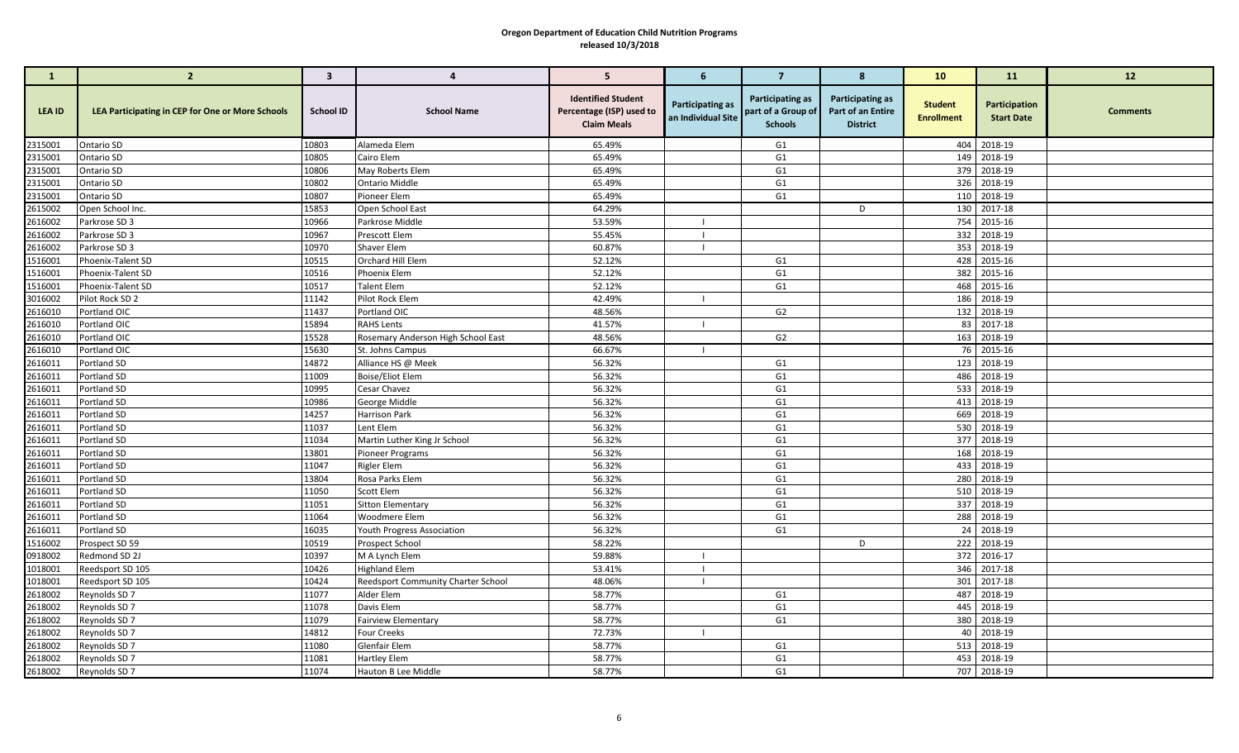| $\mathbf{1}$       | $\overline{2}$                                   | $\mathbf{3}$     | $\overline{4}$                     | 5                                                                           | 6                                      | $\overline{7}$                                           | 8                                                               | 10                                  | 11                                 | 12              |
|--------------------|--------------------------------------------------|------------------|------------------------------------|-----------------------------------------------------------------------------|----------------------------------------|----------------------------------------------------------|-----------------------------------------------------------------|-------------------------------------|------------------------------------|-----------------|
| LEA ID             | LEA Participating in CEP for One or More Schools | <b>School ID</b> | <b>School Name</b>                 | <b>Identified Student</b><br>Percentage (ISP) used to<br><b>Claim Meals</b> | Participating as<br>an Individual Site | Participating as<br>part of a Group of<br><b>Schools</b> | <b>Participating as</b><br>Part of an Entire<br><b>District</b> | <b>Student</b><br><b>Enrollment</b> | Participation<br><b>Start Date</b> | <b>Comments</b> |
| 2315001            | Ontario SD                                       | 10803            | Alameda Elem                       | 65.49%                                                                      |                                        | G1                                                       |                                                                 |                                     | 404 2018-19                        |                 |
| 2315001            | Ontario SD                                       | 10805            | Cairo Elem                         | 65.49%                                                                      |                                        | G <sub>1</sub>                                           |                                                                 |                                     | 149 2018-19                        |                 |
| 2315001            | Ontario SD                                       | 10806            | May Roberts Elem                   | 65.49%                                                                      |                                        | G <sub>1</sub>                                           |                                                                 |                                     | 379 2018-19                        |                 |
| 2315001            | Ontario SD                                       | 10802            | <b>Ontario Middle</b>              | 65.49%                                                                      |                                        | G <sub>1</sub>                                           |                                                                 |                                     | 326 2018-19                        |                 |
| 2315001            | Ontario SD                                       | 10807            | Pioneer Elem                       | 65.49%                                                                      |                                        | G <sub>1</sub>                                           |                                                                 |                                     | 110 2018-19                        |                 |
| 2615002            | Open School Inc.                                 | 15853            | Open School East                   | 64.29%                                                                      |                                        |                                                          | D                                                               |                                     | 130 2017-18                        |                 |
| 2616002            | Parkrose SD 3                                    | 10966            | Parkrose Middle                    | 53.59%                                                                      |                                        |                                                          |                                                                 |                                     | 754 2015-16                        |                 |
| 2616002            | Parkrose SD 3                                    | 10967            | Prescott Elem                      | 55.45%                                                                      |                                        |                                                          |                                                                 |                                     | 332 2018-19                        |                 |
| 2616002            | Parkrose SD 3                                    | 10970            | Shaver Elem                        | 60.87%                                                                      |                                        |                                                          |                                                                 |                                     | 353 2018-19                        |                 |
| 1516001            | Phoenix-Talent SD                                | 10515            | Orchard Hill Elem                  | 52.12%                                                                      |                                        | G <sub>1</sub>                                           |                                                                 |                                     | 428 2015-16                        |                 |
| 1516001            | Phoenix-Talent SD                                | 10516            | Phoenix Elem                       | 52.12%                                                                      |                                        | G <sub>1</sub>                                           |                                                                 |                                     | 382 2015-16                        |                 |
| 1516001            | Phoenix-Talent SD                                | 10517            | <b>Talent Elem</b>                 | 52.12%                                                                      | $\blacksquare$                         | G <sub>1</sub>                                           |                                                                 |                                     | 468 2015-16<br>186 2018-19         |                 |
| 3016002<br>2616010 | Pilot Rock SD 2<br>Portland OIC                  | 11142<br>11437   | Pilot Rock Elem<br>Portland OIC    | 42.49%<br>48.56%                                                            |                                        | G <sub>2</sub>                                           |                                                                 |                                     | 132 2018-19                        |                 |
| 2616010            | Portland OIC                                     | 15894            | <b>RAHS Lents</b>                  | 41.57%                                                                      |                                        |                                                          |                                                                 |                                     | 83 2017-18                         |                 |
| 2616010            | Portland OIC                                     | 15528            | Rosemary Anderson High School East | 48.56%                                                                      |                                        | G <sub>2</sub>                                           |                                                                 |                                     | 163 2018-19                        |                 |
| 2616010            | Portland OIC                                     | 15630            | St. Johns Campus                   | 66.67%                                                                      |                                        |                                                          |                                                                 |                                     | 76 2015-16                         |                 |
| 2616011            | Portland SD                                      | 14872            | Alliance HS @ Meek                 | 56.32%                                                                      |                                        | G <sub>1</sub>                                           |                                                                 |                                     | 123 2018-19                        |                 |
| 2616011            | Portland SD                                      | 11009            | <b>Boise/Eliot Elem</b>            | 56.32%                                                                      |                                        | G <sub>1</sub>                                           |                                                                 | 486                                 | 2018-19                            |                 |
| 2616011            | Portland SD                                      | 10995            | Cesar Chavez                       | 56.32%                                                                      |                                        | G <sub>1</sub>                                           |                                                                 |                                     | 533 2018-19                        |                 |
| 2616011            | Portland SD                                      | 10986            | George Middle                      | 56.32%                                                                      |                                        | G <sub>1</sub>                                           |                                                                 |                                     | 413 2018-19                        |                 |
| 2616011            | Portland SD                                      | 14257            | Harrison Park                      | 56.32%                                                                      |                                        | G <sub>1</sub>                                           |                                                                 | 669                                 | 2018-19                            |                 |
| 2616011            | Portland SD                                      | 11037            | Lent Elem                          | 56.32%                                                                      |                                        | G <sub>1</sub>                                           |                                                                 |                                     | 530 2018-19                        |                 |
| 2616011            | Portland SD                                      | 11034            | Martin Luther King Jr School       | 56.32%                                                                      |                                        | G <sub>1</sub>                                           |                                                                 |                                     | 377 2018-19                        |                 |
| 2616011            | Portland SD                                      | 13801            | Pioneer Programs                   | 56.32%                                                                      |                                        | G <sub>1</sub>                                           |                                                                 |                                     | 168 2018-19                        |                 |
| 2616011            | Portland SD                                      | 11047            | <b>Rigler Elem</b>                 | 56.32%                                                                      |                                        | G <sub>1</sub>                                           |                                                                 |                                     | 433 2018-19                        |                 |
| 2616011            | Portland SD                                      | 13804            | Rosa Parks Elem                    | 56.32%                                                                      |                                        | G <sub>1</sub>                                           |                                                                 |                                     | 280 2018-19                        |                 |
| 2616011            | Portland SD                                      | 11050            | Scott Elem                         | 56.32%                                                                      |                                        | G <sub>1</sub>                                           |                                                                 |                                     | 510 2018-19                        |                 |
| 2616011            | Portland SD                                      | 11051            | Sitton Elementary                  | 56.32%                                                                      |                                        | G <sub>1</sub>                                           |                                                                 |                                     | 337 2018-19                        |                 |
| 2616011            | Portland SD                                      | 11064            | Woodmere Elem                      | 56.32%                                                                      |                                        | G <sub>1</sub>                                           |                                                                 |                                     | 288 2018-19                        |                 |
| 2616011            | Portland SD                                      | 16035            | <b>Youth Progress Association</b>  | 56.32%                                                                      |                                        | G <sub>1</sub>                                           |                                                                 |                                     | 24 2018-19                         |                 |
| 1516002            | Prospect SD 59                                   | 10519            | Prospect School                    | 58.22%                                                                      |                                        |                                                          | D                                                               |                                     | 222 2018-19                        |                 |
| 0918002            | Redmond SD 2J                                    | 10397            | M A Lynch Elem                     | 59.88%                                                                      |                                        |                                                          |                                                                 |                                     | 372 2016-17                        |                 |
| 1018001            | Reedsport SD 105                                 | 10426            | <b>Highland Elem</b>               | 53.41%                                                                      |                                        |                                                          |                                                                 |                                     | 346 2017-18                        |                 |
| 1018001            | Reedsport SD 105                                 | 10424            | Reedsport Community Charter School | 48.06%                                                                      | $\blacksquare$                         |                                                          |                                                                 |                                     | 301 2017-18                        |                 |
| 2618002            | Reynolds SD 7                                    | 11077            | Alder Elem                         | 58.77%                                                                      |                                        | G <sub>1</sub>                                           |                                                                 |                                     | 487 2018-19                        |                 |
| 2618002            | Reynolds SD 7                                    | 11078            | Davis Elem                         | 58.77%                                                                      |                                        | G1                                                       |                                                                 |                                     | 445 2018-19                        |                 |
| 2618002            | Reynolds SD 7                                    | 11079            | <b>Fairview Elementary</b>         | 58.77%                                                                      |                                        | G <sub>1</sub>                                           |                                                                 |                                     | 380 2018-19                        |                 |
| 2618002            | Reynolds SD 7                                    | 14812            | <b>Four Creeks</b>                 | 72.73%                                                                      |                                        |                                                          |                                                                 |                                     | 40 2018-19                         |                 |
| 2618002            | Reynolds SD 7                                    | 11080            | Glenfair Elem                      | 58.77%                                                                      |                                        | G <sub>1</sub>                                           |                                                                 |                                     | 513 2018-19                        |                 |
| 2618002            | Reynolds SD 7                                    | 11081            | Hartley Elem                       | 58.77%                                                                      |                                        | G1                                                       |                                                                 |                                     | 453 2018-19                        |                 |
| 2618002            | Reynolds SD 7                                    | 11074            | Hauton B Lee Middle                | 58.77%                                                                      |                                        | G <sub>1</sub>                                           |                                                                 |                                     | 707 2018-19                        |                 |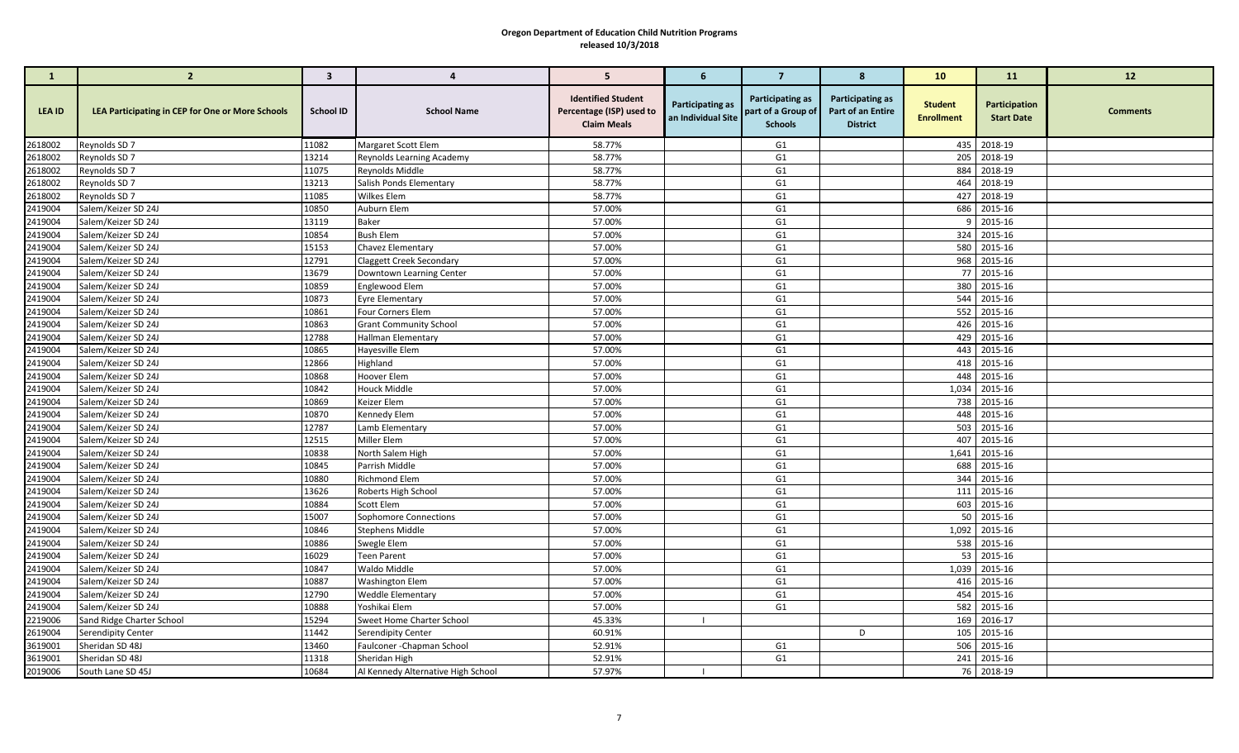| $\mathbf{1}$       | $\overline{2}$                                          | $\mathbf{3}$   | $\overline{4}$                                     | 5                                                                           | 6                                      | $\overline{7}$                                           | 8                                                               | 10                                  | 11                                 | 12              |
|--------------------|---------------------------------------------------------|----------------|----------------------------------------------------|-----------------------------------------------------------------------------|----------------------------------------|----------------------------------------------------------|-----------------------------------------------------------------|-------------------------------------|------------------------------------|-----------------|
| <b>LEA ID</b>      | <b>LEA Participating in CEP for One or More Schools</b> | School ID      | <b>School Name</b>                                 | <b>Identified Student</b><br>Percentage (ISP) used to<br><b>Claim Meals</b> | Participating as<br>an Individual Site | Participating as<br>part of a Group of<br><b>Schools</b> | <b>Participating as</b><br>Part of an Entire<br><b>District</b> | <b>Student</b><br><b>Enrollment</b> | Participation<br><b>Start Date</b> | <b>Comments</b> |
| 2618002            | Reynolds SD 7                                           | 11082          | Margaret Scott Elem                                | 58.77%                                                                      |                                        | G1                                                       |                                                                 |                                     | 435 2018-19                        |                 |
| 2618002            | Reynolds SD 7                                           | 13214          | Reynolds Learning Academy                          | 58.77%                                                                      |                                        | G <sub>1</sub>                                           |                                                                 |                                     | 205 2018-19                        |                 |
| 2618002            | Reynolds SD 7                                           | 11075          | Reynolds Middle                                    | 58.77%                                                                      |                                        | G <sub>1</sub>                                           |                                                                 | 884                                 | 2018-19                            |                 |
| 2618002            | Reynolds SD 7                                           | 13213          | Salish Ponds Elementary                            | 58.77%                                                                      |                                        | G <sub>1</sub>                                           |                                                                 |                                     | 464 2018-19                        |                 |
| 2618002            | Reynolds SD 7                                           | 11085          | <b>Wilkes Elem</b>                                 | 58.77%                                                                      |                                        | G <sub>1</sub>                                           |                                                                 |                                     | 427 2018-19                        |                 |
| 2419004            | Salem/Keizer SD 24J                                     | 10850          | Auburn Elem                                        | 57.00%                                                                      |                                        | G <sub>1</sub>                                           |                                                                 |                                     | 686 2015-16                        |                 |
| 2419004            | Salem/Keizer SD 24J                                     | 13119          | Baker                                              | 57.00%                                                                      |                                        | G <sub>1</sub>                                           |                                                                 |                                     | $9$ 2015-16                        |                 |
| 2419004            | Salem/Keizer SD 24J                                     | 10854          | <b>Bush Elem</b>                                   | 57.00%                                                                      |                                        | G1                                                       |                                                                 |                                     | 324 2015-16                        |                 |
| 2419004            | Salem/Keizer SD 24J                                     | 15153          | Chavez Elementary                                  | 57.00%                                                                      |                                        | G1                                                       |                                                                 |                                     | 580 2015-16                        |                 |
| 2419004            | Salem/Keizer SD 24J                                     | 12791          | <b>Claggett Creek Secondary</b>                    | 57.00%                                                                      |                                        | G <sub>1</sub>                                           |                                                                 |                                     | 968 2015-16                        |                 |
| 2419004            | Salem/Keizer SD 24J                                     | 13679          | Downtown Learning Center                           | 57.00%                                                                      |                                        | G <sub>1</sub>                                           |                                                                 |                                     | 77 2015-16                         |                 |
| 2419004            | Salem/Keizer SD 24J                                     | 10859          | Englewood Elem                                     | 57.00%                                                                      |                                        | G <sub>1</sub>                                           |                                                                 |                                     | 380 2015-16<br>544 2015-16         |                 |
| 2419004            | Salem/Keizer SD 24J<br>Salem/Keizer SD 24J              | 10873<br>10861 | <b>Eyre Elementary</b>                             | 57.00%<br>57.00%                                                            |                                        | G <sub>1</sub><br>G <sub>1</sub>                         |                                                                 | 552                                 | 2015-16                            |                 |
| 2419004<br>2419004 | Salem/Keizer SD 24J                                     | 10863          | Four Corners Elem<br><b>Grant Community School</b> | 57.00%                                                                      |                                        | G <sub>1</sub>                                           |                                                                 |                                     | 426 2015-16                        |                 |
| 2419004            | Salem/Keizer SD 24J                                     | 12788          | Hallman Elementary                                 | 57.00%                                                                      |                                        | G <sub>1</sub>                                           |                                                                 |                                     | 429 2015-16                        |                 |
| 2419004            | Salem/Keizer SD 24J                                     | 10865          | Hayesville Elem                                    | 57.00%                                                                      |                                        | G <sub>1</sub>                                           |                                                                 | 443                                 | 2015-16                            |                 |
| 2419004            | Salem/Keizer SD 24J                                     | 12866          | Highland                                           | 57.00%                                                                      |                                        | G <sub>1</sub>                                           |                                                                 |                                     | 418 2015-16                        |                 |
| 2419004            | Salem/Keizer SD 24J                                     | 10868          | Hoover Elem                                        | 57.00%                                                                      |                                        | G <sub>1</sub>                                           |                                                                 | 448                                 | 2015-16                            |                 |
| 2419004            | Salem/Keizer SD 24J                                     | 10842          | <b>Houck Middle</b>                                | 57.00%                                                                      |                                        | G <sub>1</sub>                                           |                                                                 |                                     | 1,034 2015-16                      |                 |
| 2419004            | Salem/Keizer SD 24J                                     | 10869          | Keizer Elem                                        | 57.00%                                                                      |                                        | G <sub>1</sub>                                           |                                                                 | 738                                 | 2015-16                            |                 |
| 2419004            | Salem/Keizer SD 24J                                     | 10870          | Kennedy Elem                                       | 57.00%                                                                      |                                        | G <sub>1</sub>                                           |                                                                 |                                     | 448 2015-16                        |                 |
| 2419004            | Salem/Keizer SD 24J                                     | 12787          | Lamb Elementary                                    | 57.00%                                                                      |                                        | G <sub>1</sub>                                           |                                                                 |                                     | 503 2015-16                        |                 |
| 2419004            | Salem/Keizer SD 24J                                     | 12515          | Miller Elem                                        | 57.00%                                                                      |                                        | G <sub>1</sub>                                           |                                                                 |                                     | 407 2015-16                        |                 |
| 2419004            | Salem/Keizer SD 24J                                     | 10838          | North Salem High                                   | 57.00%                                                                      |                                        | G <sub>1</sub>                                           |                                                                 |                                     | 1,641 2015-16                      |                 |
| 2419004            | Salem/Keizer SD 24J                                     | 10845          | Parrish Middle                                     | 57.00%                                                                      |                                        | G <sub>1</sub>                                           |                                                                 | 688                                 | 2015-16                            |                 |
| 2419004            | Salem/Keizer SD 24J                                     | 10880          | Richmond Elem                                      | 57.00%                                                                      |                                        | G <sub>1</sub>                                           |                                                                 |                                     | 344 2015-16                        |                 |
| 2419004            | Salem/Keizer SD 24J                                     | 13626          | Roberts High School                                | 57.00%                                                                      |                                        | G <sub>1</sub>                                           |                                                                 |                                     | 111 2015-16                        |                 |
| 2419004            | Salem/Keizer SD 24J                                     | 10884          | Scott Elem                                         | 57.00%                                                                      |                                        | G <sub>1</sub>                                           |                                                                 |                                     | 603 2015-16                        |                 |
| 2419004            | Salem/Keizer SD 24J                                     | 15007          | Sophomore Connections                              | 57.00%                                                                      |                                        | G <sub>1</sub>                                           |                                                                 |                                     | 50 2015-16                         |                 |
| 2419004            | Salem/Keizer SD 24J                                     | 10846          | <b>Stephens Middle</b>                             | 57.00%                                                                      |                                        | G1                                                       |                                                                 |                                     | 1,092 2015-16                      |                 |
| 2419004            | Salem/Keizer SD 24J                                     | 10886          | Swegle Elem                                        | 57.00%                                                                      |                                        | G <sub>1</sub>                                           |                                                                 |                                     | 538 2015-16                        |                 |
| 2419004            | Salem/Keizer SD 24J                                     | 16029          | <b>Teen Parent</b>                                 | 57.00%                                                                      |                                        | G <sub>1</sub>                                           |                                                                 |                                     | 53 2015-16                         |                 |
| 2419004            | Salem/Keizer SD 24J                                     | 10847          | Waldo Middle                                       | 57.00%                                                                      |                                        | G <sub>1</sub>                                           |                                                                 |                                     | 1,039 2015-16                      |                 |
| 2419004            | Salem/Keizer SD 24J                                     | 10887          | <b>Washington Elem</b>                             | 57.00%                                                                      |                                        | G <sub>1</sub>                                           |                                                                 |                                     | 416 2015-16                        |                 |
| 2419004            | Salem/Keizer SD 24J                                     | 12790          | <b>Weddle Elementary</b>                           | 57.00%                                                                      |                                        | G <sub>1</sub>                                           |                                                                 |                                     | 454 2015-16                        |                 |
| 2419004            | Salem/Keizer SD 24J                                     | 10888          | Yoshikai Elem                                      | 57.00%                                                                      |                                        | G <sub>1</sub>                                           |                                                                 | 582                                 | 2015-16                            |                 |
| 2219006            | Sand Ridge Charter School                               | 15294          | Sweet Home Charter School                          | 45.33%                                                                      |                                        |                                                          |                                                                 |                                     | 169 2016-17                        |                 |
| 2619004            | Serendipity Center                                      | 11442          | Serendipity Center                                 | 60.91%                                                                      |                                        |                                                          | D                                                               |                                     | 105 2015-16                        |                 |
| 3619001            | Sheridan SD 48J                                         | 13460          | Faulconer - Chapman School                         | 52.91%                                                                      |                                        | G1                                                       |                                                                 |                                     | 506 2015-16                        |                 |
| 3619001            | Sheridan SD 48J                                         | 11318          | Sheridan High                                      | 52.91%                                                                      |                                        | G <sub>1</sub>                                           |                                                                 |                                     | 241 2015-16                        |                 |
| 2019006            | South Lane SD 45J                                       | 10684          | Al Kennedy Alternative High School                 | 57.97%                                                                      | $\blacksquare$                         |                                                          |                                                                 |                                     | 76 2018-19                         |                 |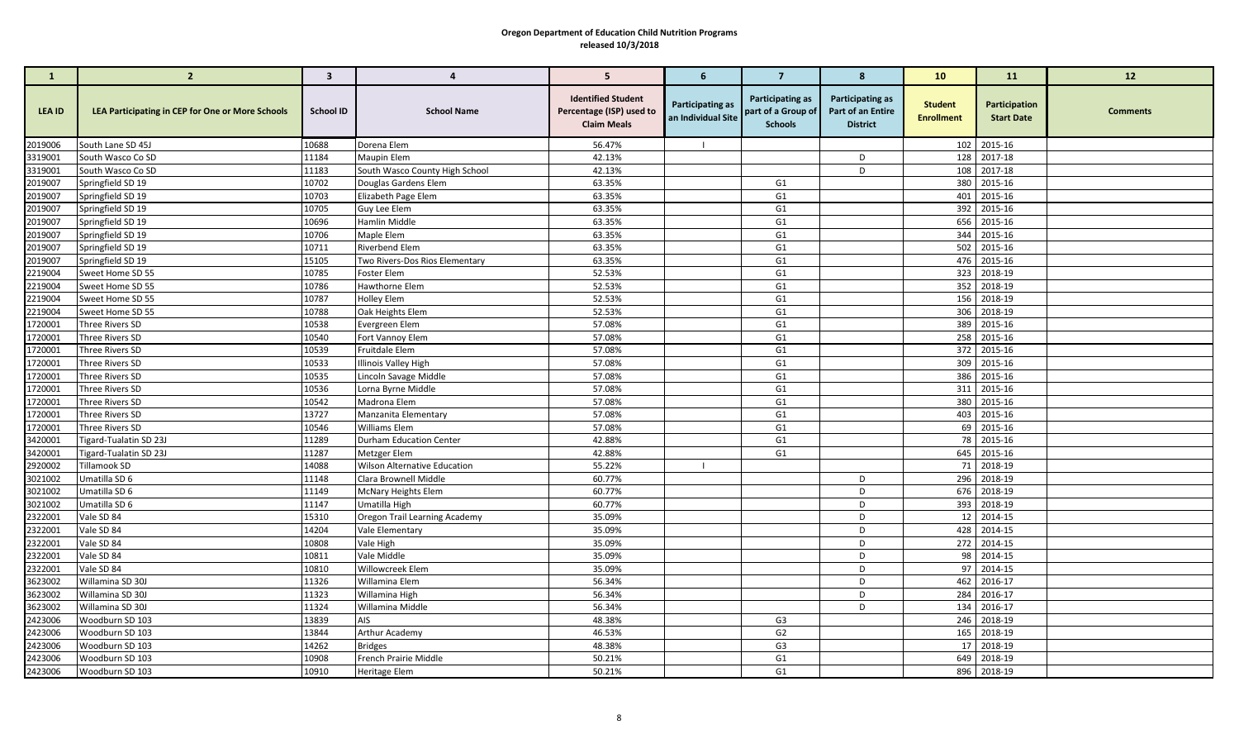| $\mathbf{1}$       | $\overline{2}$                                   | $\overline{\mathbf{3}}$ | $\overline{4}$                      | 5                                                                           | 6                                      | $\overline{7}$                                           | 8                                                               | 10                                  | 11                                 | 12              |
|--------------------|--------------------------------------------------|-------------------------|-------------------------------------|-----------------------------------------------------------------------------|----------------------------------------|----------------------------------------------------------|-----------------------------------------------------------------|-------------------------------------|------------------------------------|-----------------|
| LEA ID             | LEA Participating in CEP for One or More Schools | School ID               | <b>School Name</b>                  | <b>Identified Student</b><br>Percentage (ISP) used to<br><b>Claim Meals</b> | Participating as<br>an Individual Site | Participating as<br>part of a Group of<br><b>Schools</b> | <b>Participating as</b><br>Part of an Entire<br><b>District</b> | <b>Student</b><br><b>Enrollment</b> | Participation<br><b>Start Date</b> | <b>Comments</b> |
| 2019006            | South Lane SD 45J                                | 10688                   | Dorena Elem                         | 56.47%                                                                      |                                        |                                                          |                                                                 |                                     | 102 2015-16                        |                 |
| 3319001            | South Wasco Co SD                                | 11184                   | <b>Maupin Elem</b>                  | 42.13%                                                                      |                                        |                                                          | D                                                               |                                     | 128 2017-18                        |                 |
| 3319001            | South Wasco Co SD                                | 11183                   | South Wasco County High School      | 42.13%                                                                      |                                        |                                                          | D                                                               |                                     | 108 2017-18                        |                 |
| 2019007            | Springfield SD 19                                | 10702                   | Douglas Gardens Elem                | 63.35%                                                                      |                                        | G1                                                       |                                                                 |                                     | 380 2015-16                        |                 |
| 2019007            | Springfield SD 19                                | 10703                   | Elizabeth Page Elem                 | 63.35%                                                                      |                                        | G <sub>1</sub>                                           |                                                                 |                                     | 401 2015-16                        |                 |
| 2019007            | Springfield SD 19                                | 10705                   | Guy Lee Elem                        | 63.35%                                                                      |                                        | G1                                                       |                                                                 |                                     | 392 2015-16                        |                 |
| 2019007            | Springfield SD 19                                | 10696                   | Hamlin Middle                       | 63.35%                                                                      |                                        | G <sub>1</sub>                                           |                                                                 |                                     | 656 2015-16                        |                 |
| 2019007            | Springfield SD 19                                | 10706                   | Maple Elem                          | 63.35%                                                                      |                                        | G <sub>1</sub>                                           |                                                                 |                                     | 344 2015-16                        |                 |
| 2019007            | Springfield SD 19                                | 10711                   | Riverbend Elem                      | 63.35%                                                                      |                                        | G1                                                       |                                                                 |                                     | 502 2015-16                        |                 |
| 2019007            | Springfield SD 19                                | 15105                   | Two Rivers-Dos Rios Elementary      | 63.35%                                                                      |                                        | G <sub>1</sub>                                           |                                                                 |                                     | 476 2015-16                        |                 |
| 2219004            | Sweet Home SD 55                                 | 10785                   | <b>Foster Elem</b>                  | 52.53%                                                                      |                                        | G <sub>1</sub>                                           |                                                                 |                                     | 323 2018-19                        |                 |
| 2219004            | Sweet Home SD 55                                 | 10786                   | Hawthorne Elem                      | 52.53%                                                                      |                                        | G <sub>1</sub>                                           |                                                                 |                                     | 352 2018-19                        |                 |
| 2219004            | Sweet Home SD 55                                 | 10787                   | <b>Holley Elem</b>                  | 52.53%                                                                      |                                        | G <sub>1</sub>                                           |                                                                 |                                     | 156 2018-19                        |                 |
| 2219004            | Sweet Home SD 55                                 | 10788                   | Oak Heights Elem                    | 52.53%                                                                      |                                        | G <sub>1</sub>                                           |                                                                 |                                     | 306 2018-19                        |                 |
| 1720001            | Three Rivers SD                                  | 10538                   | Evergreen Elem                      | 57.08%                                                                      |                                        | G <sub>1</sub>                                           |                                                                 |                                     | 389 2015-16                        |                 |
| 1720001            | Three Rivers SD                                  | 10540                   | Fort Vannoy Elem                    | 57.08%                                                                      |                                        | G <sub>1</sub>                                           |                                                                 |                                     | 258 2015-16                        |                 |
| 1720001            | Three Rivers SD                                  | 10539                   | Fruitdale Elem                      | 57.08%                                                                      |                                        | G <sub>1</sub>                                           |                                                                 |                                     | 372 2015-16                        |                 |
| 1720001            | Three Rivers SD                                  | 10533                   | <b>Illinois Valley High</b>         | 57.08%                                                                      |                                        | G <sub>1</sub>                                           |                                                                 |                                     | 309 2015-16                        |                 |
| 1720001            | Three Rivers SD                                  | 10535                   | Lincoln Savage Middle               | 57.08%                                                                      |                                        | G <sub>1</sub>                                           |                                                                 |                                     | 386 2015-16                        |                 |
| 1720001            | Three Rivers SD                                  | 10536                   | Lorna Byrne Middle                  | 57.08%                                                                      |                                        | G1                                                       |                                                                 |                                     | 311 2015-16                        |                 |
| 1720001            | Three Rivers SD                                  | 10542                   | Madrona Elem                        | 57.08%                                                                      |                                        | G <sub>1</sub>                                           |                                                                 |                                     | 380 2015-16                        |                 |
| 1720001            | Three Rivers SD                                  | 13727                   | Manzanita Elementary                | 57.08%                                                                      |                                        | G <sub>1</sub>                                           |                                                                 |                                     | 403 2015-16                        |                 |
| 1720001            | Three Rivers SD                                  | 10546                   | Williams Elem                       | 57.08%                                                                      |                                        | G <sub>1</sub>                                           |                                                                 |                                     | 69 2015-16                         |                 |
| 3420001            | <b>Tigard-Tualatin SD 23J</b>                    | 11289                   | <b>Durham Education Center</b>      | 42.88%                                                                      |                                        | G <sub>1</sub>                                           |                                                                 |                                     | 78 2015-16                         |                 |
| 3420001            | Tigard-Tualatin SD 23J                           | 11287                   | Metzger Elem                        | 42.88%                                                                      |                                        | G <sub>1</sub>                                           |                                                                 |                                     | 645 2015-16                        |                 |
| 2920002            | <b>Tillamook SD</b>                              | 14088                   | <b>Wilson Alternative Education</b> | 55.22%                                                                      | - 1                                    |                                                          |                                                                 |                                     | 71 2018-19                         |                 |
| 3021002            | Umatilla SD 6                                    | 11148                   | Clara Brownell Middle               | 60.77%                                                                      |                                        |                                                          | D<br>D                                                          |                                     | 296 2018-19                        |                 |
| 3021002            | Umatilla SD 6                                    | 11149<br>11147          | McNary Heights Elem                 | 60.77%<br>60.77%                                                            |                                        |                                                          | D                                                               |                                     | 676 2018-19                        |                 |
| 3021002            | Umatilla SD 6                                    | 15310                   | Umatilla High                       | 35.09%                                                                      |                                        |                                                          | D                                                               |                                     | 393 2018-19<br>12 2014-15          |                 |
| 2322001<br>2322001 | Vale SD 84<br>Vale SD 84                         | 14204                   | Oregon Trail Learning Academy       | 35.09%                                                                      |                                        |                                                          | D                                                               |                                     | 428 2014-15                        |                 |
| 2322001            | Vale SD 84                                       | 10808                   | Vale Elementary                     | 35.09%                                                                      |                                        |                                                          | D                                                               |                                     | 272 2014-15                        |                 |
| 2322001            | Vale SD 84                                       | 10811                   | Vale High<br>Vale Middle            | 35.09%                                                                      |                                        |                                                          | D                                                               |                                     | 98 2014-15                         |                 |
| 2322001            | Vale SD 84                                       | 10810                   | Willowcreek Elem                    | 35.09%                                                                      |                                        |                                                          | D                                                               |                                     | 97 2014-15                         |                 |
| 3623002            | Willamina SD 30J                                 | 11326                   | Willamina Elem                      | 56.34%                                                                      |                                        |                                                          | D                                                               |                                     | 462 2016-17                        |                 |
| 3623002            | Willamina SD 30J                                 | 11323                   | Willamina High                      | 56.34%                                                                      |                                        |                                                          | D                                                               |                                     | 284 2016-17                        |                 |
| 3623002            | Willamina SD 30J                                 | 11324                   | Willamina Middle                    | 56.34%                                                                      |                                        |                                                          | D                                                               |                                     | 134 2016-17                        |                 |
| 2423006            | Woodburn SD 103                                  | 13839                   | AIS                                 | 48.38%                                                                      |                                        | G3                                                       |                                                                 |                                     | 246 2018-19                        |                 |
| 2423006            | Woodburn SD 103                                  | 13844                   | Arthur Academy                      | 46.53%                                                                      |                                        | G <sub>2</sub>                                           |                                                                 | 165                                 | 2018-19                            |                 |
| 2423006            | Woodburn SD 103                                  | 14262                   | <b>Bridges</b>                      | 48.38%                                                                      |                                        | G <sub>3</sub>                                           |                                                                 |                                     | 17 2018-19                         |                 |
| 2423006            | Woodburn SD 103                                  | 10908                   | French Prairie Middle               | 50.21%                                                                      |                                        | G1                                                       |                                                                 |                                     | 649 2018-19                        |                 |
| 2423006            | Woodburn SD 103                                  | 10910                   | <b>Heritage Elem</b>                | 50.21%                                                                      |                                        | G <sub>1</sub>                                           |                                                                 |                                     | 896 2018-19                        |                 |
|                    |                                                  |                         |                                     |                                                                             |                                        |                                                          |                                                                 |                                     |                                    |                 |